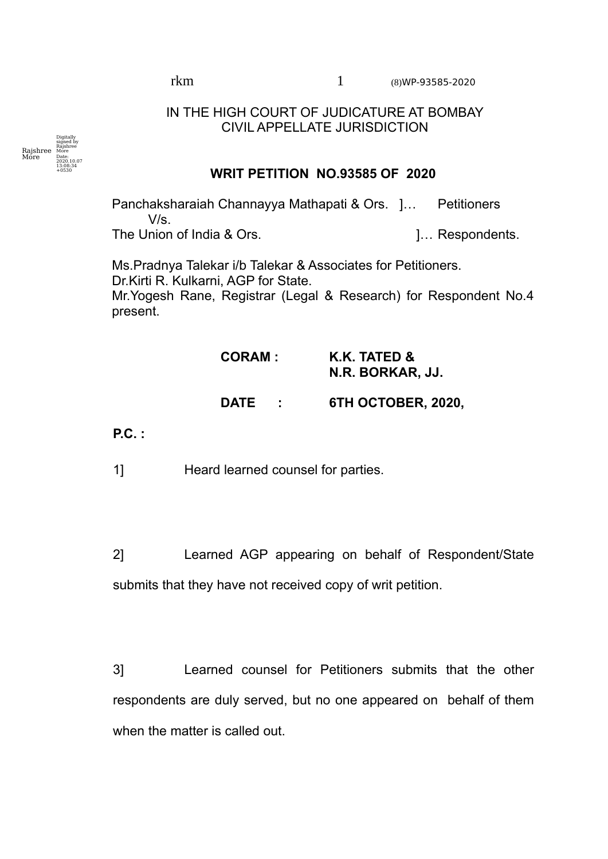rkm 1 (8)WP-93585-2020

## IN THE HIGH COURT OF JUDICATURE AT BOMBAY CIVIL APPELLATE JURISDICTION



## **WRIT PETITION NO.93585 OF 2020**

Panchaksharaiah Channayya Mathapati & Ors. ]… Petitioners  $V/s$ 

The Union of India & Ors. **Example 1.** The Union of India & Ors. **1.** The Union of India & Ors.

Ms.Pradnya Talekar i/b Talekar & Associates for Petitioners. Dr.Kirti R. Kulkarni, AGP for State. Mr.Yogesh Rane, Registrar (Legal & Research) for Respondent No.4 present.

## **CORAM : K.K. TATED & N.R. BORKAR, JJ.**

## **DATE : 6TH OCTOBER, 2020,**

**P.C. :**

1] Heard learned counsel for parties.

2] Learned AGP appearing on behalf of Respondent/State submits that they have not received copy of writ petition.

3] Learned counsel for Petitioners submits that the other respondents are duly served, but no one appeared on behalf of them when the matter is called out.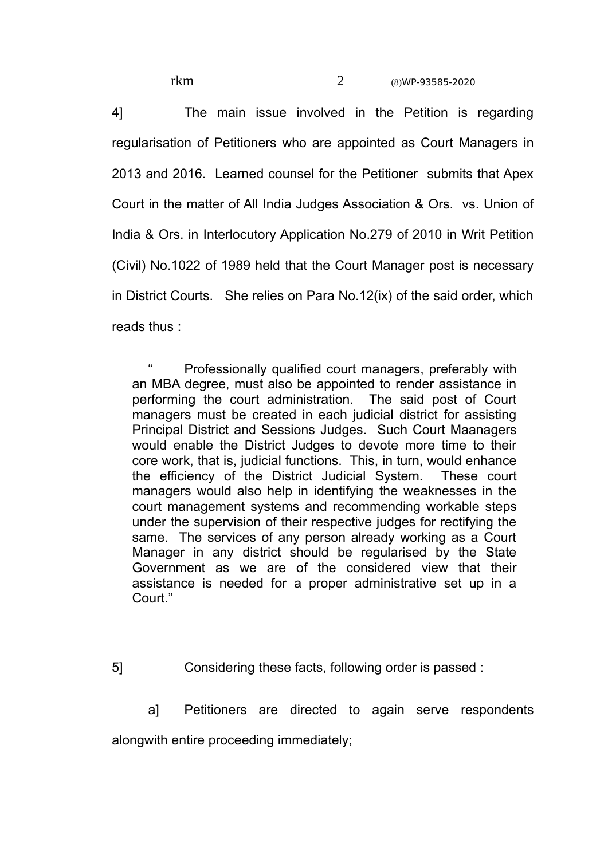4] The main issue involved in the Petition is regarding regularisation of Petitioners who are appointed as Court Managers in 2013 and 2016. Learned counsel for the Petitioner submits that Apex Court in the matter of All India Judges Association & Ors. vs. Union of India & Ors. in Interlocutory Application No.279 of 2010 in Writ Petition (Civil) No.1022 of 1989 held that the Court Manager post is necessary in District Courts. She relies on Para No.12(ix) of the said order, which reads thus :

" Professionally qualified court managers, preferably with an MBA degree, must also be appointed to render assistance in performing the court administration. The said post of Court managers must be created in each judicial district for assisting Principal District and Sessions Judges. Such Court Maanagers would enable the District Judges to devote more time to their core work, that is, judicial functions. This, in turn, would enhance the efficiency of the District Judicial System. These court managers would also help in identifying the weaknesses in the court management systems and recommending workable steps under the supervision of their respective judges for rectifying the same. The services of any person already working as a Court Manager in any district should be regularised by the State Government as we are of the considered view that their assistance is needed for a proper administrative set up in a Court."

- 5] Considering these facts, following order is passed :
	- a] Petitioners are directed to again serve respondents

alongwith entire proceeding immediately;